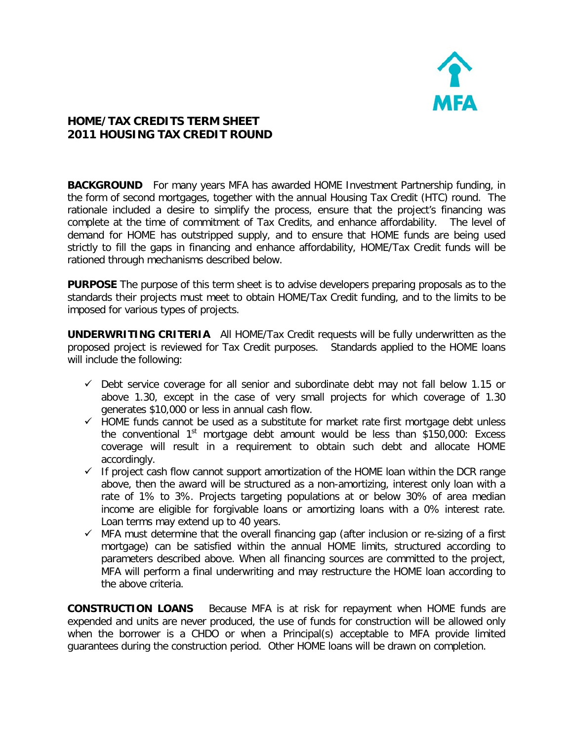

## **HOME/TAX CREDITS TERM SHEET 2011 HOUSING TAX CREDIT ROUND**

**BACKGROUND** For many years MFA has awarded HOME Investment Partnership funding, in the form of second mortgages, together with the annual Housing Tax Credit (HTC) round. The rationale included a desire to simplify the process, ensure that the project's financing was complete at the time of commitment of Tax Credits, and enhance affordability. The level of demand for HOME has outstripped supply, and to ensure that HOME funds are being used strictly to fill the gaps in financing and enhance affordability, HOME/Tax Credit funds will be rationed through mechanisms described below.

**PURPOSE** The purpose of this term sheet is to advise developers preparing proposals as to the standards their projects must meet to obtain HOME/Tax Credit funding, and to the limits to be imposed for various types of projects.

**UNDERWRITING CRITERIA** All HOME/Tax Credit requests will be fully underwritten as the proposed project is reviewed for Tax Credit purposes. Standards applied to the HOME loans will include the following:

- $\checkmark$  Debt service coverage for all senior and subordinate debt may not fall below 1.15 or above 1.30, except in the case of very small projects for which coverage of 1.30 generates \$10,000 or less in annual cash flow.
- $\checkmark$  HOME funds cannot be used as a substitute for market rate first mortgage debt unless the conventional  $1<sup>st</sup>$  mortgage debt amount would be less than \$150,000: Excess coverage will result in a requirement to obtain such debt and allocate HOME accordingly.
- $\checkmark$  If project cash flow cannot support amortization of the HOME loan within the DCR range above, then the award will be structured as a non-amortizing, interest only loan with a rate of 1% to 3%. Projects targeting populations at or below 30% of area median income are eligible for forgivable loans or amortizing loans with a 0% interest rate. Loan terms may extend up to 40 years.
- $\checkmark$  MFA must determine that the overall financing gap (after inclusion or re-sizing of a first mortgage) can be satisfied within the annual HOME limits, structured according to parameters described above. When all financing sources are committed to the project, MFA will perform a final underwriting and may restructure the HOME loan according to the above criteria.

**CONSTRUCTION LOANS** Because MFA is at risk for repayment when HOME funds are expended and units are never produced, the use of funds for construction will be allowed only when the borrower is a CHDO or when a Principal(s) acceptable to MFA provide limited guarantees during the construction period. Other HOME loans will be drawn on completion.